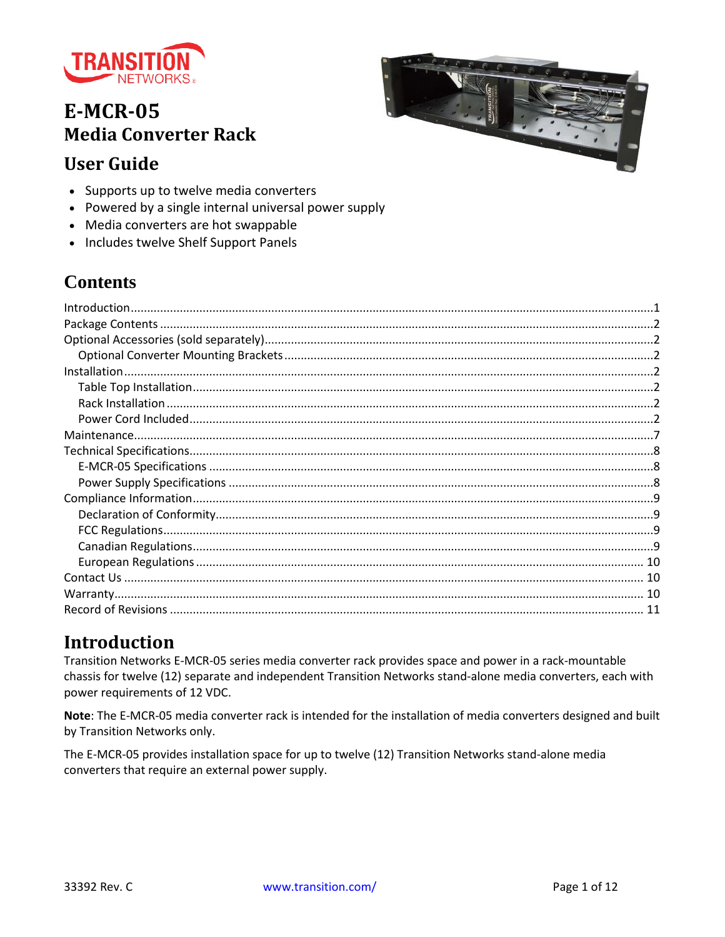

# **E-MCR-05 Media Converter Rack**



# **User Guide**

- Supports up to twelve media converters
- Powered by a single internal universal power supply
- Media converters are hot swappable
- Includes twelve Shelf Support Panels

# **Contents**

## <span id="page-0-0"></span>**Introduction**

Transition Networks E-MCR-05 series media converter rack provides space and power in a rack-mountable chassis for twelve (12) separate and independent Transition Networks stand-alone media converters, each with power requirements of 12 VDC.

Note: The E-MCR-05 media converter rack is intended for the installation of media converters designed and built by Transition Networks only.

The E-MCR-05 provides installation space for up to twelve (12) Transition Networks stand-alone media converters that require an external power supply.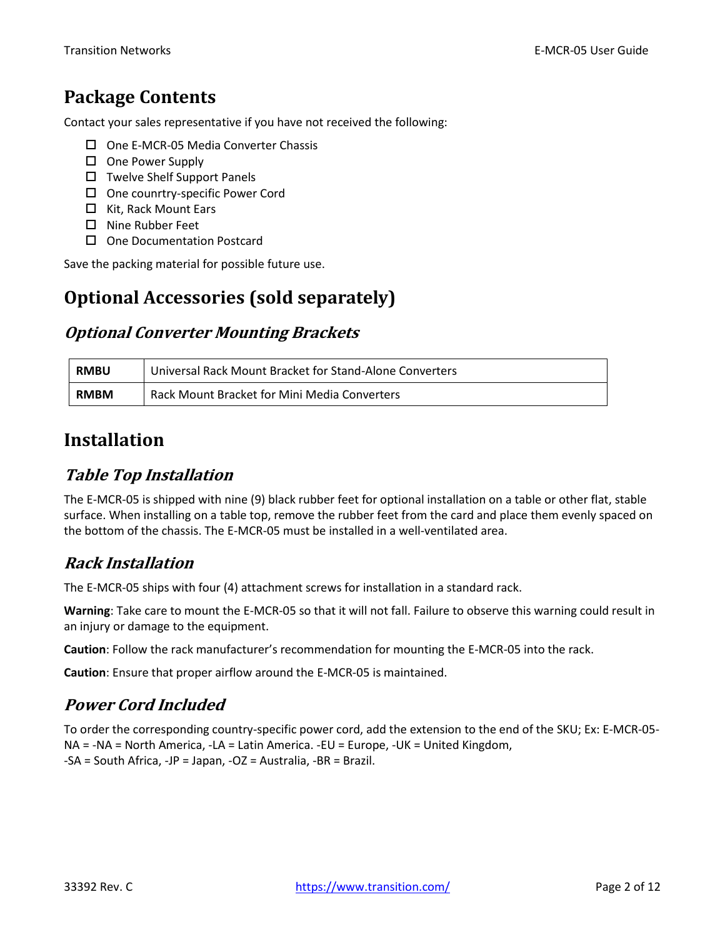# <span id="page-1-0"></span>**Package Contents**

Contact your sales representative if you have not received the following:

- $\Box$  One E-MCR-05 Media Converter Chassis
- □ One Power Supply
- $\square$  Twelve Shelf Support Panels
- □ One counrtry-specific Power Cord
- $\Box$  Kit, Rack Mount Ears
- □ Nine Rubber Feet
- □ One Documentation Postcard

Save the packing material for possible future use.

## <span id="page-1-1"></span>**Optional Accessories (sold separately)**

#### <span id="page-1-2"></span>**Optional Converter Mounting Brackets**

| <b>RMBU</b> | Universal Rack Mount Bracket for Stand-Alone Converters |  |
|-------------|---------------------------------------------------------|--|
| <b>RMBM</b> | Rack Mount Bracket for Mini Media Converters            |  |

## <span id="page-1-3"></span>**Installation**

### <span id="page-1-4"></span>**Table Top Installation**

The E-MCR-05 is shipped with nine (9) black rubber feet for optional installation on a table or other flat, stable surface. When installing on a table top, remove the rubber feet from the card and place them evenly spaced on the bottom of the chassis. The E-MCR-05 must be installed in a well-ventilated area.

### <span id="page-1-5"></span>**Rack Installation**

The E-MCR-05 ships with four (4) attachment screws for installation in a standard rack.

**Warning**: Take care to mount the E-MCR-05 so that it will not fall. Failure to observe this warning could result in an injury or damage to the equipment.

**Caution**: Follow the rack manufacturer's recommendation for mounting the E-MCR-05 into the rack.

<span id="page-1-6"></span>**Caution**: Ensure that proper airflow around the E-MCR-05 is maintained.

### **Power Cord Included**

To order the corresponding country-specific power cord, add the extension to the end of the SKU; Ex: E-MCR-05- NA = -NA = North America, -LA = Latin America. -EU = Europe, -UK = United Kingdom, -SA = South Africa, -JP = Japan, -OZ = Australia, -BR = Brazil.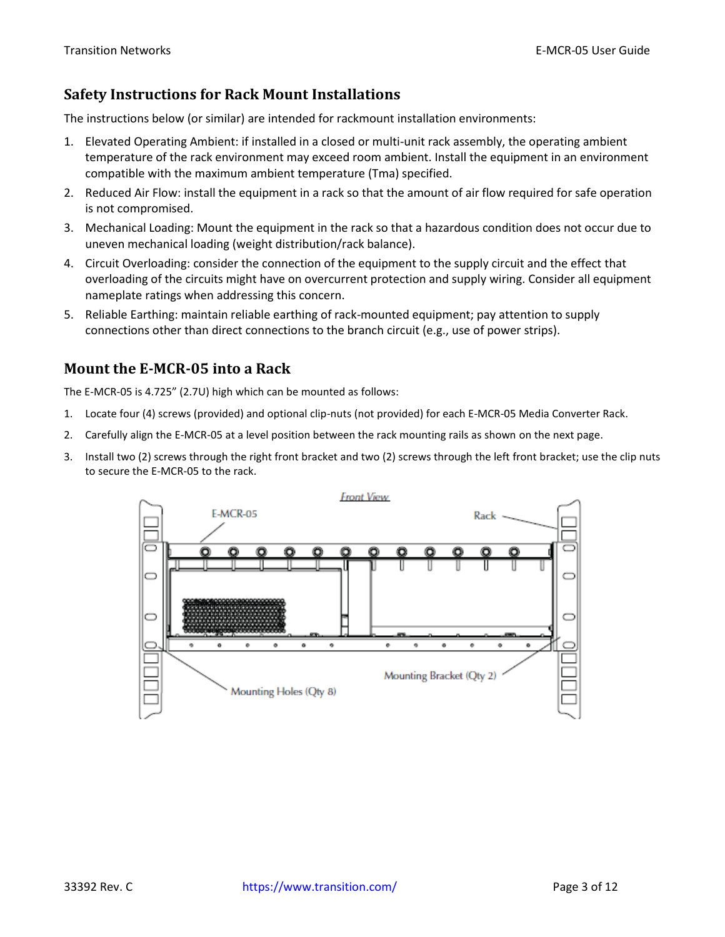#### **Safety Instructions for Rack Mount Installations**

The instructions below (or similar) are intended for rackmount installation environments:

- 1. Elevated Operating Ambient: if installed in a closed or multi-unit rack assembly, the operating ambient temperature of the rack environment may exceed room ambient. Install the equipment in an environment compatible with the maximum ambient temperature (Tma) specified.
- 2. Reduced Air Flow: install the equipment in a rack so that the amount of air flow required for safe operation is not compromised.
- 3. Mechanical Loading: Mount the equipment in the rack so that a hazardous condition does not occur due to uneven mechanical loading (weight distribution/rack balance).
- 4. Circuit Overloading: consider the connection of the equipment to the supply circuit and the effect that overloading of the circuits might have on overcurrent protection and supply wiring. Consider all equipment nameplate ratings when addressing this concern.
- 5. Reliable Earthing: maintain reliable earthing of rack-mounted equipment; pay attention to supply connections other than direct connections to the branch circuit (e.g., use of power strips).

#### **Mount the E-MCR-05 into a Rack**

The E-MCR-05 is 4.725" (2.7U) high which can be mounted as follows:

- 1. Locate four (4) screws (provided) and optional clip-nuts (not provided) for each E-MCR-05 Media Converter Rack.
- 2. Carefully align the E-MCR-05 at a level position between the rack mounting rails as shown on the next page.
- 3. Install two (2) screws through the right front bracket and two (2) screws through the left front bracket; use the clip nuts to secure the E-MCR-05 to the rack.

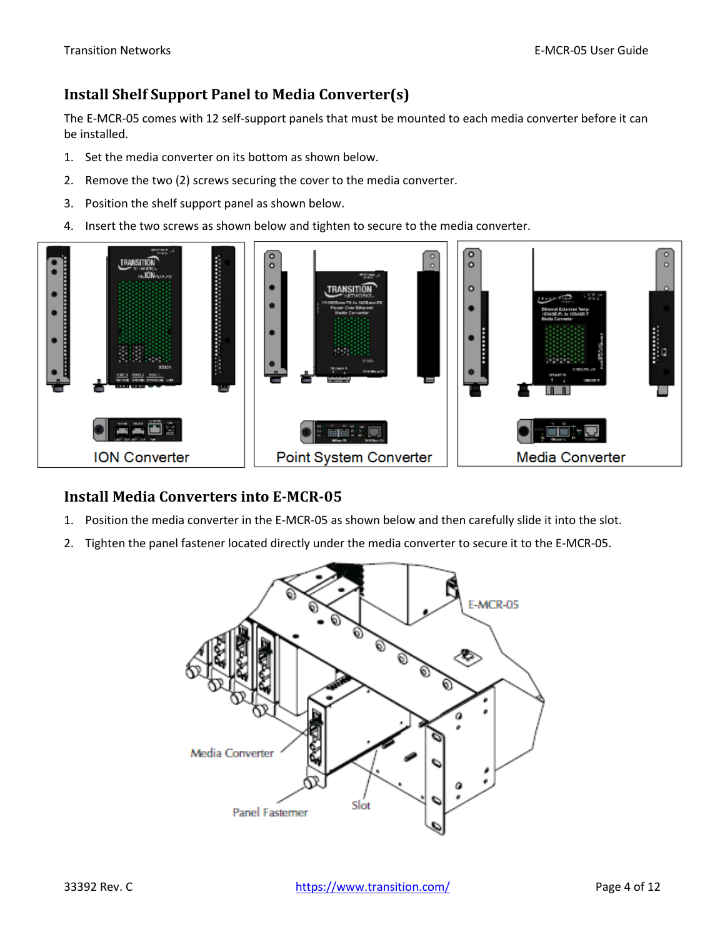#### **Install Shelf Support Panel to Media Converter(s)**

The E-MCR-05 comes with 12 self-support panels that must be mounted to each media converter before it can be installed.

- 1. Set the media converter on its bottom as shown below.
- 2. Remove the two (2) screws securing the cover to the media converter.
- 3. Position the shelf support panel as shown below.
- 4. Insert the two screws as shown below and tighten to secure to the media converter.



#### **Install Media Converters into E-MCR-05**

- 1. Position the media converter in the E-MCR-05 as shown below and then carefully slide it into the slot.
- 2. Tighten the panel fastener located directly under the media converter to secure it to the E-MCR-05.

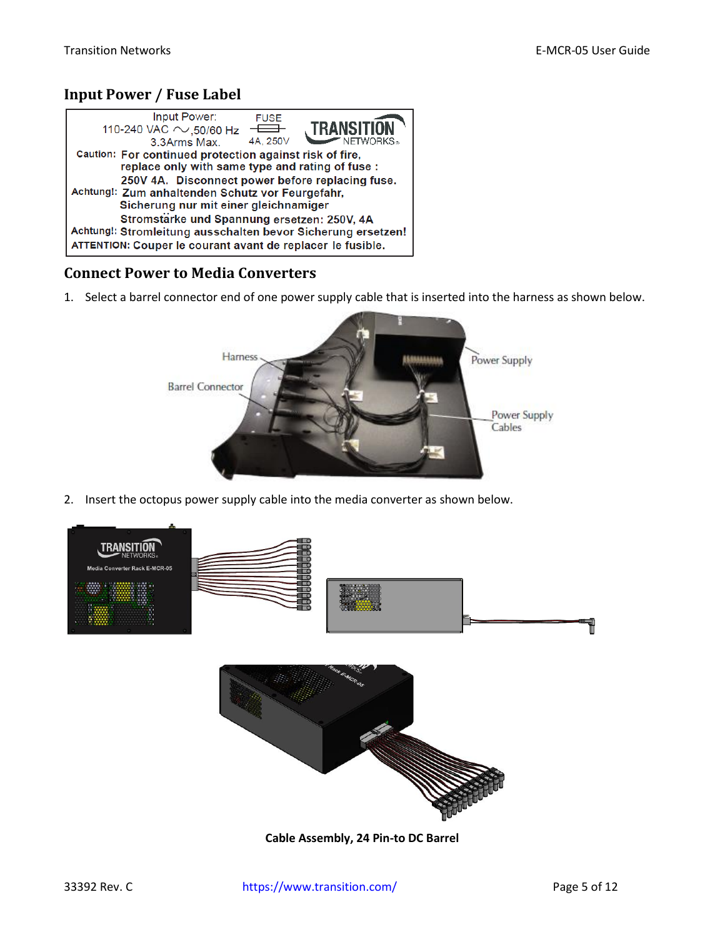#### <span id="page-4-0"></span>**Input Power / Fuse Label**

| Input Power:<br><b>FUSE</b><br><b>TRANSITION</b><br>110-240 VAC $\sim$ 50/60 Hz<br>$\overline{\phantom{0}}$                                                                                                        |  |  |
|--------------------------------------------------------------------------------------------------------------------------------------------------------------------------------------------------------------------|--|--|
| 4A. 250V<br>$\overline{\phantom{a}}$ NETWORKS.<br>3.3Arms Max.                                                                                                                                                     |  |  |
| Caution: For continued protection against risk of fire,<br>replace only with same type and rating of fuse:<br>250V 4A. Disconnect power before replacing fuse.<br>Achtung!: Zum anhaltenden Schutz vor Feurgefahr, |  |  |
| Sicherung nur mit einer gleichnamiger                                                                                                                                                                              |  |  |
| Stromstärke und Spannung ersetzen: 250V, 4A<br>Achtung!: Stromleitung ausschalten bevor Sicherung ersetzen!<br>ATTENTION: Couper le courant avant de replacer le fusible.                                          |  |  |

#### **Connect Power to Media Converters**

1. Select a barrel connector end of one power supply cable that is inserted into the harness as shown below.



2. Insert the octopus power supply cable into the media converter as shown below.



**Cable Assembly, 24 Pin-to DC Barrel**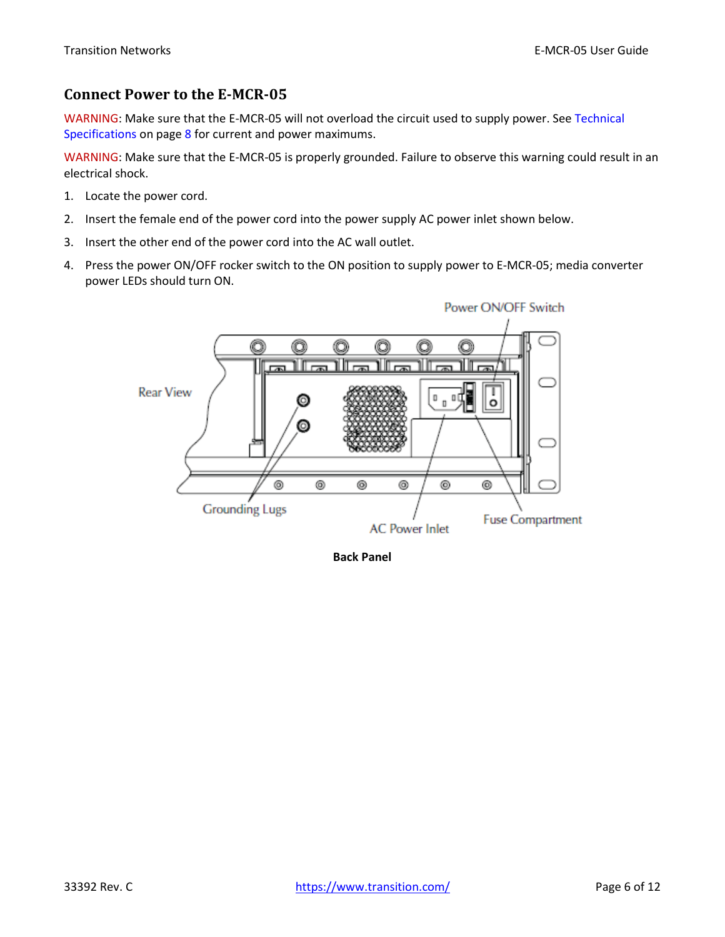#### **Connect Power to the E-MCR-05**

WARNING: Make sure that the E-MCR-05 will not overload the circuit used to supply power. See [Technical](#page-7-0) [Specifications](#page-7-0) on page [8](#page-7-0) for current and power maximums.

WARNING: Make sure that the E-MCR-05 is properly grounded. Failure to observe this warning could result in an electrical shock.

- 1. Locate the power cord.
- 2. Insert the female end of the power cord into the power supply AC power inlet shown below.
- 3. Insert the other end of the power cord into the AC wall outlet.
- 4. Press the power ON/OFF rocker switch to the ON position to supply power to E-MCR-05; media converter power LEDs should turn ON.



**Back Panel**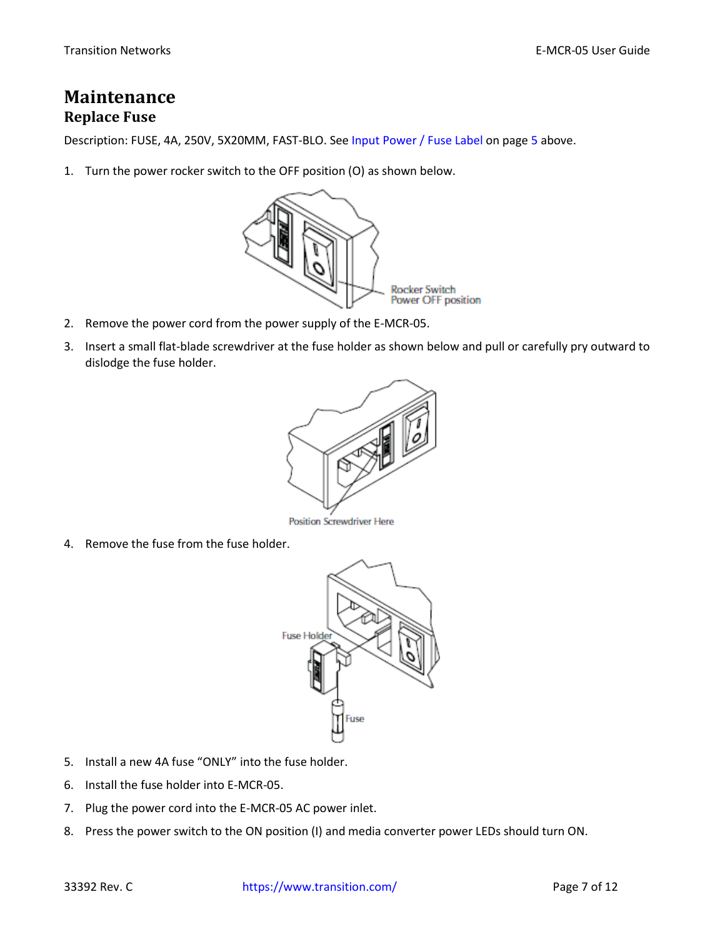## <span id="page-6-0"></span>**Maintenance Replace Fuse**

Description: FUSE, 4A, 250V, 5X20MM, FAST-BLO. See [Input Power](#page-4-0) / Fuse Label on pag[e 5](#page-4-0) above.

1. Turn the power rocker switch to the OFF position (O) as shown below.



- 2. Remove the power cord from the power supply of the E-MCR-05.
- 3. Insert a small flat-blade screwdriver at the fuse holder as shown below and pull or carefully pry outward to dislodge the fuse holder.



**Position Screwdriver Here** 

4. Remove the fuse from the fuse holder.



- 5. Install a new 4A fuse "ONLY" into the fuse holder.
- 6. Install the fuse holder into E-MCR-05.
- 7. Plug the power cord into the E-MCR-05 AC power inlet.
- 8. Press the power switch to the ON position (I) and media converter power LEDs should turn ON.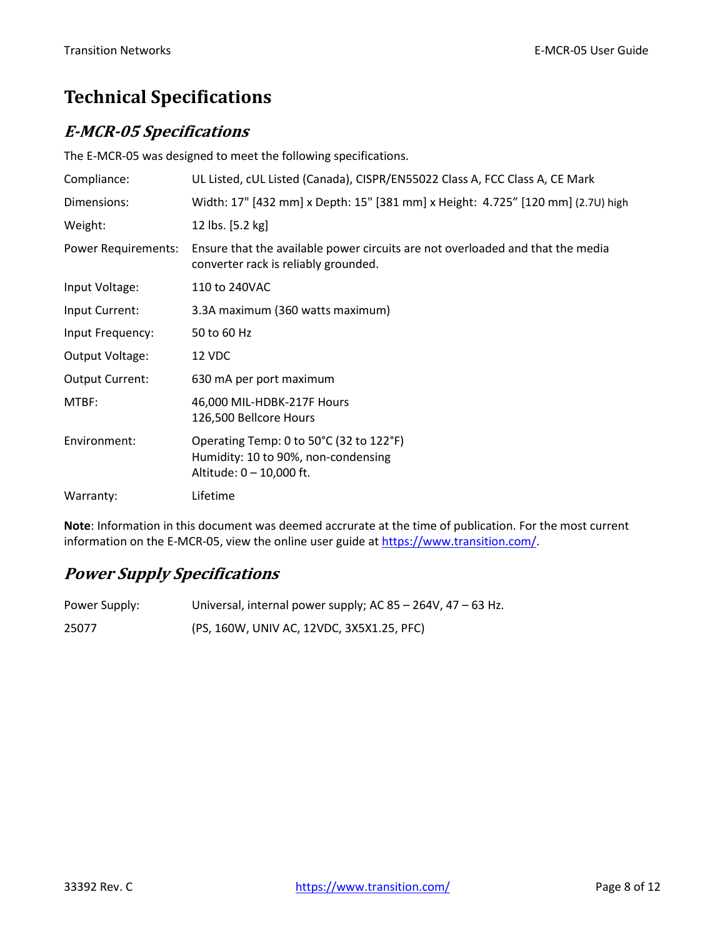# <span id="page-7-0"></span>**Technical Specifications**

### <span id="page-7-1"></span>**E-MCR-05 Specifications**

The E-MCR-05 was designed to meet the following specifications.

| Compliance:                | UL Listed, cUL Listed (Canada), CISPR/EN55022 Class A, FCC Class A, CE Mark                                            |
|----------------------------|------------------------------------------------------------------------------------------------------------------------|
| Dimensions:                | Width: 17" [432 mm] x Depth: 15" [381 mm] x Height: 4.725" [120 mm] (2.7U) high                                        |
| Weight:                    | 12 lbs. [5.2 kg]                                                                                                       |
| <b>Power Requirements:</b> | Ensure that the available power circuits are not overloaded and that the media<br>converter rack is reliably grounded. |
| Input Voltage:             | 110 to 240VAC                                                                                                          |
| Input Current:             | 3.3A maximum (360 watts maximum)                                                                                       |
| Input Frequency:           | 50 to 60 Hz                                                                                                            |
| Output Voltage:            | 12 VDC                                                                                                                 |
| <b>Output Current:</b>     | 630 mA per port maximum                                                                                                |
| MTBF:                      | 46,000 MIL-HDBK-217F Hours<br>126,500 Bellcore Hours                                                                   |
| Environment:               | Operating Temp: 0 to 50°C (32 to 122°F)<br>Humidity: 10 to 90%, non-condensing<br>Altitude: 0 - 10,000 ft.             |
| Warranty:                  | Lifetime                                                                                                               |

**Note**: Information in this document was deemed accrurate at the time of publication. For the most current information on the E-MCR-05, view the online user guide a[t https://www.transition.com/.](https://www.transition.com/)

## <span id="page-7-2"></span>**Power Supply Specifications**

| Power Supply: | Universal, internal power supply; AC $85 - 264V$ , $47 - 63$ Hz. |
|---------------|------------------------------------------------------------------|
| 25077         | (PS, 160W, UNIV AC, 12VDC, 3X5X1.25, PFC)                        |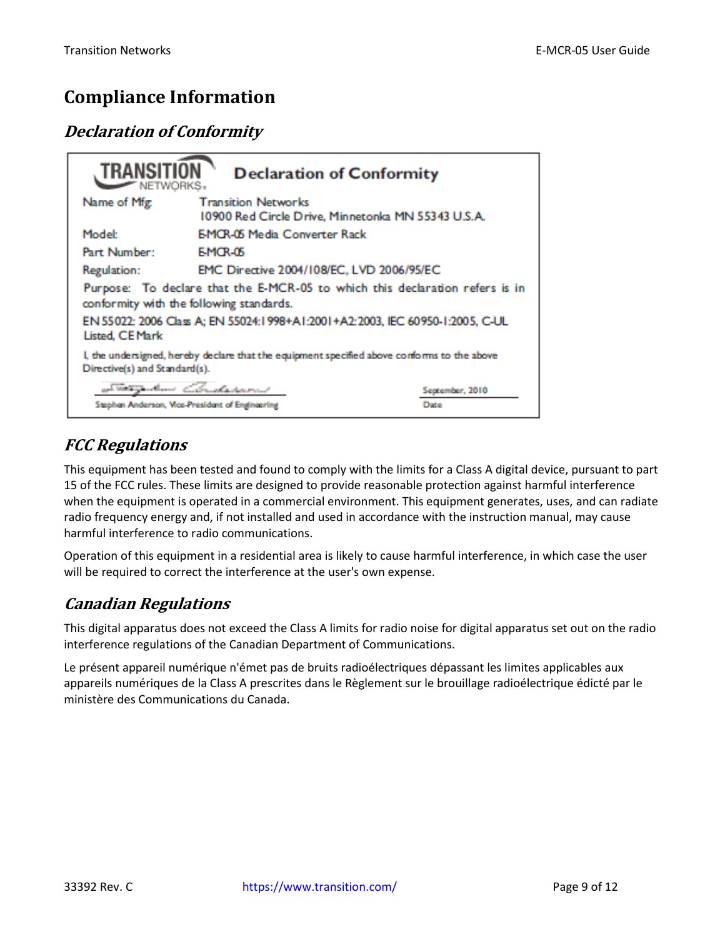# <span id="page-8-0"></span>**Compliance Information**

## <span id="page-8-1"></span>**Declaration of Conformity**

| TRANSITI<br><b>Declaration of Conformity</b><br>$\blacktriangleright$ NETWORKS.                                              |                                                                                  |                 |
|------------------------------------------------------------------------------------------------------------------------------|----------------------------------------------------------------------------------|-----------------|
| Name of Mfg                                                                                                                  | <b>Transition Networks</b><br>10900 Red Circle Drive, Minnetonka MN 55343 U.S.A. |                 |
| Model:                                                                                                                       | <b>EMCR-05 Media Converter Rack</b>                                              |                 |
| Part Number:                                                                                                                 | <b>EMOR-05</b>                                                                   |                 |
| Regulation:                                                                                                                  | EMC Directive 2004/108/EC, LVD 2006/95/EC                                        |                 |
| Purpose: To declare that the E-MCR-05 to which this declaration refers is in<br>conformity with the following standards.     |                                                                                  |                 |
| EN 55022: 2006 Class A; EN 55024:1998+A1:2001+A2:2003, IEC 60950-1:2005, C-UL<br><b>Listed, CE Mark</b>                      |                                                                                  |                 |
| I, the undersigned, hereby declare that the equipment specified above conforms to the above<br>Directive(s) and Standard(s). |                                                                                  |                 |
|                                                                                                                              | at men dan Christiannis                                                          | September, 2010 |
| Stephen Anderson, Vice-President of Engineering<br>Date                                                                      |                                                                                  |                 |

## <span id="page-8-2"></span>**FCC Regulations**

This equipment has been tested and found to comply with the limits for a Class A digital device, pursuant to part 15 of the FCC rules. These limits are designed to provide reasonable protection against harmful interference when the equipment is operated in a commercial environment. This equipment generates, uses, and can radiate radio frequency energy and, if not installed and used in accordance with the instruction manual, may cause harmful interference to radio communications.

Operation of this equipment in a residential area is likely to cause harmful interference, in which case the user will be required to correct the interference at the user's own expense.

## <span id="page-8-3"></span>**Canadian Regulations**

This digital apparatus does not exceed the Class A limits for radio noise for digital apparatus set out on the radio interference regulations of the Canadian Department of Communications.

Le présent appareil numérique n'émet pas de bruits radioélectriques dépassant les limites applicables aux appareils numériques de la Class A prescrites dans le Règlement sur le brouillage radioélectrique édicté par le ministère des Communications du Canada.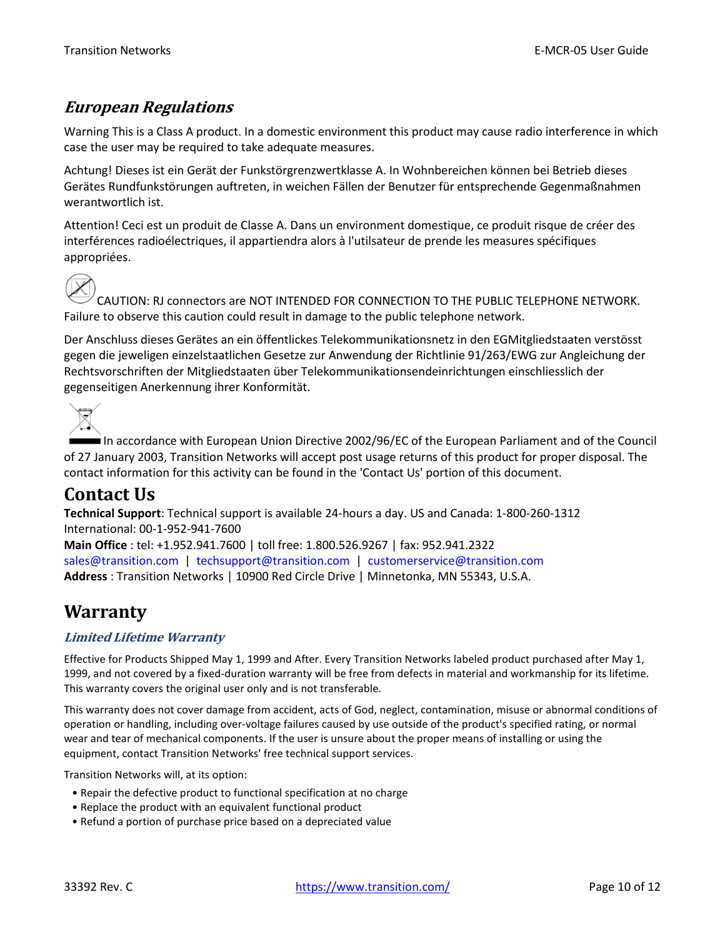### <span id="page-9-0"></span>**European Regulations**

Warning This is a Class A product. In a domestic environment this product may cause radio interference in which case the user may be required to take adequate measures.

Achtung! Dieses ist ein Gerät der Funkstörgrenzwertklasse A. In Wohnbereichen können bei Betrieb dieses Gerätes Rundfunkstörungen auftreten, in weichen Fällen der Benutzer für entsprechende Gegenmaßnahmen werantwortlich ist.

Attention! Ceci est un produit de Classe A. Dans un environment domestique, ce produit risque de créer des interférences radioélectriques, il appartiendra alors à l'utilsateur de prende les measures spécifiques appropriées.



CAUTION: RJ connectors are NOT INTENDED FOR CONNECTION TO THE PUBLIC TELEPHONE NETWORK. Failure to observe this caution could result in damage to the public telephone network.

Der Anschluss dieses Gerätes an ein öffentlickes Telekommunikationsnetz in den EGMitgliedstaaten verstösst gegen die jeweligen einzelstaatlichen Gesetze zur Anwendung der Richtlinie 91/263/EWG zur Angleichung der Rechtsvorschriften der Mitgliedstaaten über Telekommunikationsendeinrichtungen einschliesslich der gegenseitigen Anerkennung ihrer Konformität.

In accordance with European Union Directive 2002/96/EC of the European Parliament and of the Council of 27 January 2003, Transition Networks will accept post usage returns of this product for proper disposal. The contact information for this activity can be found in the 'Contact Us' portion of this document.

# <span id="page-9-1"></span>**Contact Us**

**Technical Support**: Technical support is available 24-hours a day. US and Canada: 1-800-260-1312 International: 00-1-952-941-7600

**Main Office** : tel: +1.952.941.7600 | toll free: 1.800.526.9267 | fax: 952.941.2322 [sales@transition.com](mailto:sales@transition.com) | [techsupport@transition.com](mailto:techsupport@transition.com) | [customerservice@transition.com](mailto:customerservice@transition.com) **Address** : Transition Networks | 10900 Red Circle Drive | Minnetonka, MN 55343, U.S.A.

# <span id="page-9-2"></span>**Warranty**

#### **Limited Lifetime Warranty**

Effective for Products Shipped May 1, 1999 and After. Every Transition Networks labeled product purchased after May 1, 1999, and not covered by a fixed-duration warranty will be free from defects in material and workmanship for its lifetime. This warranty covers the original user only and is not transferable.

This warranty does not cover damage from accident, acts of God, neglect, contamination, misuse or abnormal conditions of operation or handling, including over-voltage failures caused by use outside of the product's specified rating, or normal wear and tear of mechanical components. If the user is unsure about the proper means of installing or using the equipment, contact Transition Networks' free technical support services.

Transition Networks will, at its option:

- Repair the defective product to functional specification at no charge
- Replace the product with an equivalent functional product
- Refund a portion of purchase price based on a depreciated value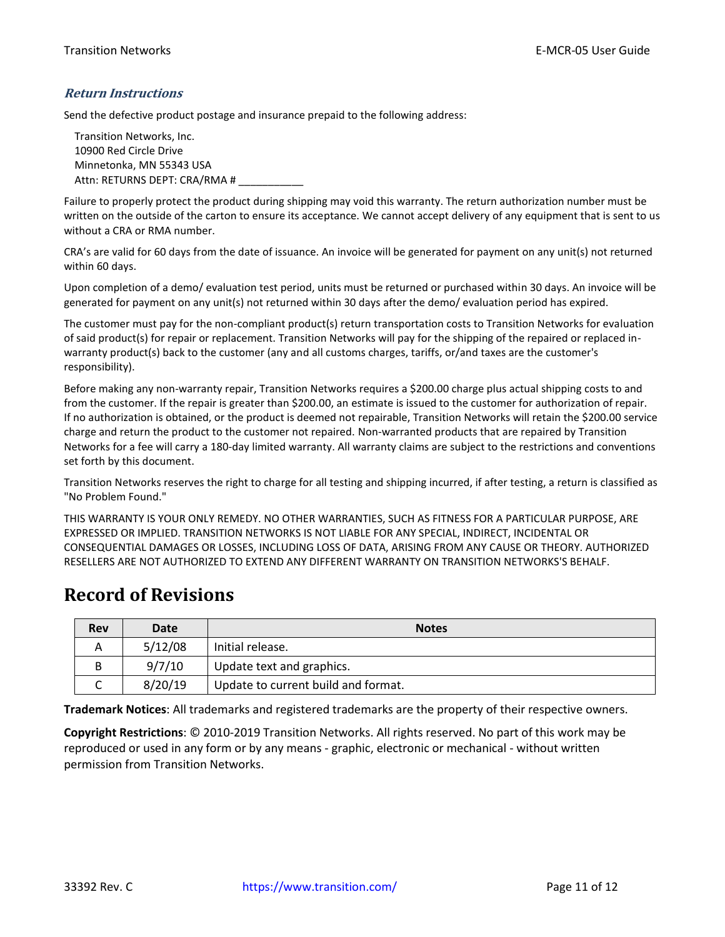#### **Return Instructions**

Send the defective product postage and insurance prepaid to the following address:

Transition Networks, Inc. 10900 Red Circle Drive Minnetonka, MN 55343 USA Attn: RETURNS DEPT: CRA/RMA # \_\_\_\_\_\_\_\_\_\_\_\_

Failure to properly protect the product during shipping may void this warranty. The return authorization number must be written on the outside of the carton to ensure its acceptance. We cannot accept delivery of any equipment that is sent to us without a CRA or RMA number.

CRA's are valid for 60 days from the date of issuance. An invoice will be generated for payment on any unit(s) not returned within 60 days.

Upon completion of a demo/ evaluation test period, units must be returned or purchased within 30 days. An invoice will be generated for payment on any unit(s) not returned within 30 days after the demo/ evaluation period has expired.

The customer must pay for the non-compliant product(s) return transportation costs to Transition Networks for evaluation of said product(s) for repair or replacement. Transition Networks will pay for the shipping of the repaired or replaced inwarranty product(s) back to the customer (any and all customs charges, tariffs, or/and taxes are the customer's responsibility).

Before making any non-warranty repair, Transition Networks requires a \$200.00 charge plus actual shipping costs to and from the customer. If the repair is greater than \$200.00, an estimate is issued to the customer for authorization of repair. If no authorization is obtained, or the product is deemed not repairable, Transition Networks will retain the \$200.00 service charge and return the product to the customer not repaired. Non-warranted products that are repaired by Transition Networks for a fee will carry a 180-day limited warranty. All warranty claims are subject to the restrictions and conventions set forth by this document.

Transition Networks reserves the right to charge for all testing and shipping incurred, if after testing, a return is classified as "No Problem Found."

THIS WARRANTY IS YOUR ONLY REMEDY. NO OTHER WARRANTIES, SUCH AS FITNESS FOR A PARTICULAR PURPOSE, ARE EXPRESSED OR IMPLIED. TRANSITION NETWORKS IS NOT LIABLE FOR ANY SPECIAL, INDIRECT, INCIDENTAL OR CONSEQUENTIAL DAMAGES OR LOSSES, INCLUDING LOSS OF DATA, ARISING FROM ANY CAUSE OR THEORY. AUTHORIZED RESELLERS ARE NOT AUTHORIZED TO EXTEND ANY DIFFERENT WARRANTY ON TRANSITION NETWORKS'S BEHALF.

## <span id="page-10-0"></span>**Record of Revisions**

| <b>Rev</b> | Date    | <b>Notes</b>                        |
|------------|---------|-------------------------------------|
|            | 5/12/08 | Initial release.                    |
| B          | 9/7/10  | Update text and graphics.           |
| ◡          | 8/20/19 | Update to current build and format. |

**Trademark Notices**: All trademarks and registered trademarks are the property of their respective owners.

**Copyright Restrictions**: © 2010-2019 Transition Networks. All rights reserved. No part of this work may be reproduced or used in any form or by any means - graphic, electronic or mechanical - without written permission from Transition Networks.